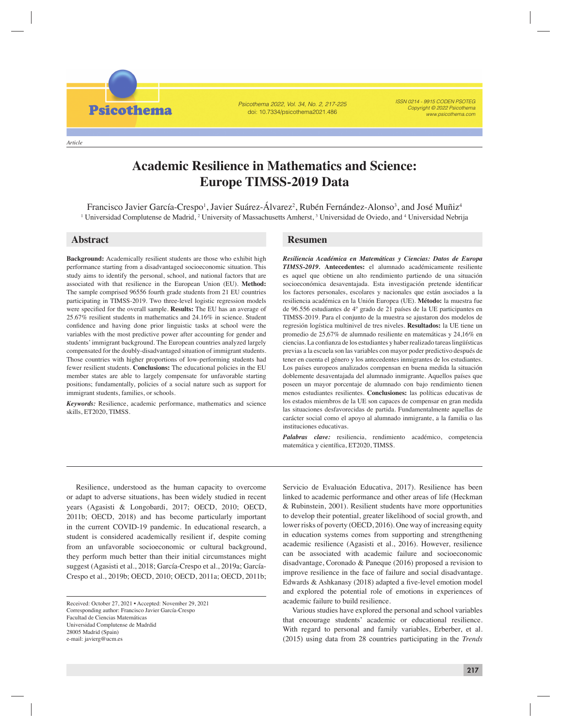*Article*

**Psicothema** 

Psicothema 2022, Vol. 34, No. 2, 217-225 doi: 10.7334/psicothema2021.486

ISSN 0214 - 9915 CODEN PSOTEG Copyright © 2022 Psicothema www.psicothema.com

# **Academic Resilience in Mathematics and Science: Europe TIMSS-2019 Data**

Francisco Javier García-Crespo<sup>1</sup>, Javier Suárez-Álvarez<sup>2</sup>, Rubén Fernández-Alonso<sup>3</sup>, and José Muñiz<sup>4</sup> <sup>1</sup> Universidad Complutense de Madrid, <sup>2</sup> University of Massachusetts Amherst, <sup>3</sup> Universidad de Oviedo, and <sup>4</sup> Universidad Nebrija

**Background:** Academically resilient students are those who exhibit high performance starting from a disadvantaged socioeconomic situation. This study aims to identify the personal, school, and national factors that are associated with that resilience in the European Union (EU). **Method:**  The sample comprised 96556 fourth grade students from 21 EU countries participating in TIMSS-2019. Two three-level logistic regression models were specified for the overall sample. Results: The EU has an average of 25.67% resilient students in mathematics and 24.16% in science. Student confidence and having done prior linguistic tasks at school were the variables with the most predictive power after accounting for gender and students' immigrant background. The European countries analyzed largely compensated for the doubly-disadvantaged situation of immigrant students. Those countries with higher proportions of low-performing students had fewer resilient students. **Conclusions:** The educational policies in the EU member states are able to largely compensate for unfavorable starting positions; fundamentally, policies of a social nature such as support for immigrant students, families, or schools.

*Keywords:* Resilience, academic performance, mathematics and science skills, ET2020, TIMSS.

# **Abstract Resumen**

*Resiliencia Académica en Matemáticas y Ciencias: Datos de Europa TIMSS-2019.* **Antecedentes:** el alumnado académicamente resiliente es aquel que obtiene un alto rendimiento partiendo de una situación socioeconómica desaventajada. Esta investigación pretende identificar los factores personales, escolares y nacionales que están asociados a la resiliencia académica en la Unión Europea (UE). **Método:** la muestra fue de 96.556 estudiantes de 4º grado de 21 países de la UE participantes en TIMSS-2019. Para el conjunto de la muestra se ajustaron dos modelos de regresión logística multinivel de tres niveles. **Resultados:** la UE tiene un promedio de 25,67% de alumnado resiliente en matemáticas y 24,16% en ciencias. La confianza de los estudiantes y haber realizado tareas lingüísticas previas a la escuela son las variables con mayor poder predictivo después de tener en cuenta el género y los antecedentes inmigrantes de los estudiantes. Los países europeos analizados compensan en buena medida la situación doblemente desaventajada del alumnado inmigrante. Aquellos países que poseen un mayor porcentaje de alumnado con bajo rendimiento tienen menos estudiantes resilientes. **Conclusiones:** las políticas educativas de los estados miembros de la UE son capaces de compensar en gran medida las situaciones desfavorecidas de partida. Fundamentalmente aquellas de carácter social como el apoyo al alumnado inmigrante, a la familia o las instituciones educativas.

*Palabras clave:* resiliencia, rendimiento académico, competencia matemática y científica, ET2020, TIMSS.

Resilience, understood as the human capacity to overcome or adapt to adverse situations, has been widely studied in recent years (Agasisti & Longobardi, 2017; OECD, 2010; OECD, 2011b; OECD, 2018) and has become particularly important in the current COVID-19 pandemic. In educational research, a student is considered academically resilient if, despite coming from an unfavorable socioeconomic or cultural background, they perform much better than their initial circumstances might suggest (Agasisti et al., 2018; García-Crespo et al., 2019a; García-Crespo et al., 2019b; OECD, 2010; OECD, 2011a; OECD, 2011b;

Servicio de Evaluación Educativa, 2017). Resilience has been linked to academic performance and other areas of life (Heckman & Rubinstein, 2001). Resilient students have more opportunities to develop their potential, greater likelihood of social growth, and lower risks of poverty (OECD, 2016). One way of increasing equity in education systems comes from supporting and strengthening academic resilience (Agasisti et al., 2016). However, resilience can be associated with academic failure and socioeconomic disadvantage, Coronado & Paneque (2016) proposed a revision to improve resilience in the face of failure and social disadvantage. Edwards & Ashkanasy (2018) adapted a five-level emotion model and explored the potential role of emotions in experiences of academic failure to build resilience.

Various studies have explored the personal and school variables that encourage students' academic or educational resilience. With regard to personal and family variables, Erberber, et al. (2015) using data from 28 countries participating in the *Trends* 

Received: October 27, 2021 • Accepted: November 29, 2021 Corresponding author: Francisco Javier García-Crespo Facultad de Ciencias Matemáticas Universidad Complutense de Madrdid 28005 Madrid (Spain) e-mail: javierg@ucm.es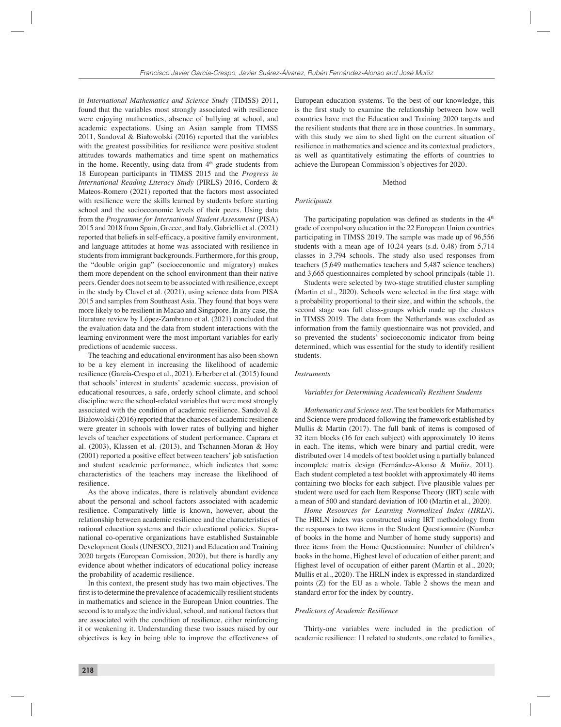*in International Mathematics and Science Study* (TIMSS) 2011, found that the variables most strongly associated with resilience were enjoying mathematics, absence of bullying at school, and academic expectations. Using an Asian sample from TIMSS 2011, Sandoval & Białowolski (2016) reported that the variables with the greatest possibilities for resilience were positive student attitudes towards mathematics and time spent on mathematics in the home. Recently, using data from  $4<sup>th</sup>$  grade students from 18 European participants in TIMSS 2015 and the *Progress in International Reading Literacy Study* (PIRLS) 2016, Cordero & Mateos-Romero (2021) reported that the factors most associated with resilience were the skills learned by students before starting school and the socioeconomic levels of their peers. Using data from the *Programme for International Student Assessment* (PISA) 2015 and 2018 from Spain, Greece, and Italy, Gabrielli et al. (2021) reported that beliefs in self-efficacy, a positive family environment, and language attitudes at home was associated with resilience in students from immigrant backgrounds. Furthermore, for this group, the "double origin gap" (socioeconomic and migratory) makes them more dependent on the school environment than their native peers. Gender does not seem to be associated with resilience, except in the study by Clavel et al. (2021), using science data from PISA 2015 and samples from Southeast Asia. They found that boys were more likely to be resilient in Macao and Singapore. In any case, the literature review by López-Zambrano et al. (2021) concluded that the evaluation data and the data from student interactions with the learning environment were the most important variables for early predictions of academic success.

The teaching and educational environment has also been shown to be a key element in increasing the likelihood of academic resilience (García-Crespo et al., 2021). Erberber et al. (2015) found that schools' interest in students' academic success, provision of educational resources, a safe, orderly school climate, and school discipline were the school-related variables that were most strongly associated with the condition of academic resilience. Sandoval & Białowolski (2016) reported that the chances of academic resilience were greater in schools with lower rates of bullying and higher levels of teacher expectations of student performance. Caprara et al. (2003), Klassen et al. (2013), and Tschannen-Moran & Hoy (2001) reported a positive effect between teachers' job satisfaction and student academic performance, which indicates that some characteristics of the teachers may increase the likelihood of resilience.

As the above indicates, there is relatively abundant evidence about the personal and school factors associated with academic resilience. Comparatively little is known, however, about the relationship between academic resilience and the characteristics of national education systems and their educational policies. Supranational co-operative organizations have established Sustainable Development Goals (UNESCO, 2021) and Education and Training 2020 targets (European Comission, 2020), but there is hardly any evidence about whether indicators of educational policy increase the probability of academic resilience.

In this context, the present study has two main objectives. The first is to determine the prevalence of academically resilient students in mathematics and science in the European Union countries. The second is to analyze the individual, school, and national factors that are associated with the condition of resilience, either reinforcing it or weakening it. Understanding these two issues raised by our objectives is key in being able to improve the effectiveness of European education systems. To the best of our knowledge, this is the first study to examine the relationship between how well countries have met the Education and Training 2020 targets and the resilient students that there are in those countries. In summary, with this study we aim to shed light on the current situation of resilience in mathematics and science and its contextual predictors, as well as quantitatively estimating the efforts of countries to achieve the European Commission's objectives for 2020.

### Method

#### *Participants*

The participating population was defined as students in the  $4<sup>th</sup>$ grade of compulsory education in the 22 European Union countries participating in TIMSS 2019. The sample was made up of 96,556 students with a mean age of 10.24 years (s.d. 0.48) from 5,714 classes in 3,794 schools. The study also used responses from teachers (5,649 mathematics teachers and 5,487 science teachers) and 3,665 questionnaires completed by school principals (table 1).

Students were selected by two-stage stratified cluster sampling (Martin et al.,  $2020$ ). Schools were selected in the first stage with a probability proportional to their size, and within the schools, the second stage was full class-groups which made up the clusters in TIMSS 2019. The data from the Netherlands was excluded as information from the family questionnaire was not provided, and so prevented the students' socioeconomic indicator from being determined, which was essential for the study to identify resilient students.

#### *Instruments*

#### *Variables for Determining Academically Resilient Students*

*Mathematics and Science test.* The test booklets for Mathematics and Science were produced following the framework established by Mullis & Martin (2017). The full bank of items is composed of 32 item blocks (16 for each subject) with approximately 10 items in each. The items, which were binary and partial credit, were distributed over 14 models of test booklet using a partially balanced incomplete matrix design (Fernández-Alonso & Muñiz, 2011). Each student completed a test booklet with approximately 40 items containing two blocks for each subject. Five plausible values per student were used for each Item Response Theory (IRT) scale with a mean of 500 and standard deviation of 100 (Martin et al., 2020).

*Home Resources for Learning Normalized Index (HRLN).*  The HRLN index was constructed using IRT methodology from the responses to two items in the Student Questionnaire (Number of books in the home and Number of home study supports) and three items from the Home Questionnaire: Number of children's books in the home, Highest level of education of either parent; and Highest level of occupation of either parent (Martin et al., 2020; Mullis et al., 2020). The HRLN index is expressed in standardized points (Z) for the EU as a whole. Table 2 shows the mean and standard error for the index by country.

#### *Predictors of Academic Resilience*

Thirty-one variables were included in the prediction of academic resilience: 11 related to students, one related to families,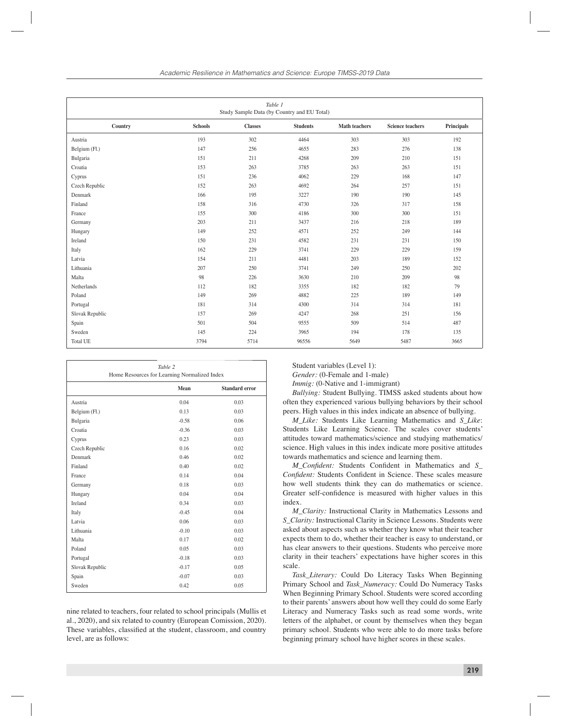| Table 1<br>Study Sample Data (by Country and EU Total) |                |                |                 |                      |                         |                   |
|--------------------------------------------------------|----------------|----------------|-----------------|----------------------|-------------------------|-------------------|
| Country                                                | <b>Schools</b> | <b>Classes</b> | <b>Students</b> | <b>Math teachers</b> | <b>Science teachers</b> | <b>Principals</b> |
| Austria                                                | 193            | 302            | 4464            | 303                  | 303                     | 192               |
| Belgium (Fl.)                                          | 147            | 256            | 4655            | 283                  | 276                     | 138               |
| Bulgaria                                               | 151            | 211            | 4268            | 209                  | 210                     | 151               |
| Croatia                                                | 153            | 263            | 3785            | 263                  | 263                     | 151               |
| Cyprus                                                 | 151            | 236            | 4062            | 229                  | 168                     | 147               |
| Czech Republic                                         | 152            | 263            | 4692            | 264                  | 257                     | 151               |
| Denmark                                                | 166            | 195            | 3227            | 190                  | 190                     | 145               |
| Finland                                                | 158            | 316            | 4730            | 326                  | 317                     | 158               |
| France                                                 | 155            | 300            | 4186            | 300                  | 300                     | 151               |
| Germany                                                | 203            | 211            | 3437            | 216                  | 218                     | 189               |
| Hungary                                                | 149            | 252            | 4571            | 252                  | 249                     | 144               |
| Ireland                                                | 150            | 231            | 4582            | 231                  | 231                     | 150               |
| Italy                                                  | 162            | 229            | 3741            | 229                  | 229                     | 159               |
| Latvia                                                 | 154            | 211            | 4481            | 203                  | 189                     | 152               |
| Lithuania                                              | 207            | 250            | 3741            | 249                  | 250                     | 202               |
| Malta                                                  | 98             | 226            | 3630            | 210                  | 209                     | 98                |
| Netherlands                                            | 112            | 182            | 3355            | 182                  | 182                     | 79                |
| Poland                                                 | 149            | 269            | 4882            | 225                  | 189                     | 149               |
| Portugal                                               | 181            | 314            | 4300            | 314                  | 314                     | 181               |
| Slovak Republic                                        | 157            | 269            | 4247            | 268                  | 251                     | 156               |
| Spain                                                  | 501            | 504            | 9555            | 509                  | 514                     | 487               |
| Sweden                                                 | 145            | 224            | 3965            | 194                  | 178                     | 135               |
| <b>Total UE</b>                                        | 3794           | 5714           | 96556           | 5649                 | 5487                    | 3665              |

| Table 2<br>Home Resources for Learning Normalized Index |         |                       |  |
|---------------------------------------------------------|---------|-----------------------|--|
|                                                         | Mean    | <b>Standard error</b> |  |
| Austria                                                 | 0.04    | 0.03                  |  |
| Belgium (Fl.)                                           | 0.13    | 0.03                  |  |
| Bulgaria                                                | $-0.58$ | 0.06                  |  |
| Croatia                                                 | $-0.36$ | 0.03                  |  |
| Cyprus                                                  | 0.23    | 0.03                  |  |
| Czech Republic                                          | 0.16    | 0.02                  |  |
| Denmark                                                 | 0.46    | 0.02                  |  |
| Finland                                                 | 0.40    | 0.02                  |  |
| France                                                  | 0.14    | 0.04                  |  |
| Germany                                                 | 0.18    | 0.03                  |  |
| Hungary                                                 | 0.04    | 0.04                  |  |
| <b>Ireland</b>                                          | 0.34    | 0.03                  |  |
| Italy                                                   | $-0.45$ | 0.04                  |  |
| Latvia                                                  | 0.06    | 0.03                  |  |
| Lithuania                                               | $-0.10$ | 0.03                  |  |
| Malta                                                   | 0.17    | 0.02                  |  |
| Poland                                                  | 0.05    | 0.03                  |  |
| Portugal                                                | $-0.18$ | 0.03                  |  |
| Slovak Republic                                         | $-0.17$ | 0.05                  |  |
| Spain                                                   | $-0.07$ | 0.03                  |  |
| Sweden                                                  | 0.42    | 0.05                  |  |

nine related to teachers, four related to school principals (Mullis et al., 2020), and six related to country (European Comission, 2020). These variables, classified at the student, classroom, and country level, are as follows:

Student variables (Level 1):

*Gender:* (0-Female and 1-male)

*Immig:* (0-Native and 1-immigrant)

*Bullying:* Student Bullying. TIMSS asked students about how often they experienced various bullying behaviors by their school peers. High values in this index indicate an absence of bullying.

*M\_Like:* Students Like Learning Mathematics and *S\_Like*: Students Like Learning Science. The scales cover students' attitudes toward mathematics/science and studying mathematics/ science. High values in this index indicate more positive attitudes towards mathematics and science and learning them.

*M\_Confident:* Students Confident in Mathematics and S\_ *Confident:* Students Confident in Science. These scales measure how well students think they can do mathematics or science. Greater self-confidence is measured with higher values in this index.

*M\_Clarity:* Instructional Clarity in Mathematics Lessons and *S\_Clarity:* Instructional Clarity in Science Lessons. Students were asked about aspects such as whether they know what their teacher expects them to do, whether their teacher is easy to understand, or has clear answers to their questions. Students who perceive more clarity in their teachers' expectations have higher scores in this scale.

*Task\_Literary:* Could Do Literacy Tasks When Beginning Primary School and *Task\_Numeracy:* Could Do Numeracy Tasks When Beginning Primary School. Students were scored according to their parents' answers about how well they could do some Early Literacy and Numeracy Tasks such as read some words, write letters of the alphabet, or count by themselves when they began primary school. Students who were able to do more tasks before beginning primary school have higher scores in these scales.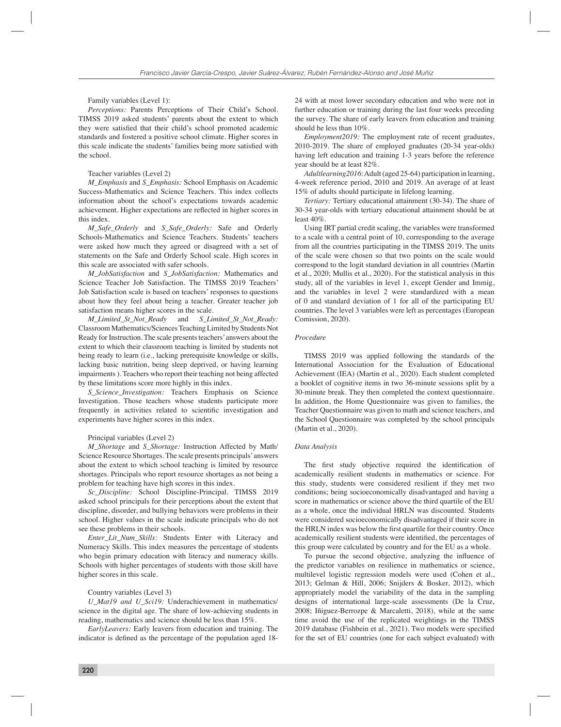Family variables (Level 1):

*Perceptions:* Parents Perceptions of Their Child's School. TIMSS 2019 asked students' parents about the extent to which they were satisfied that their child's school promoted academic standards and fostered a positive school climate. Higher scores in this scale indicate the students' families being more satisfied with the school.

### Teacher variables (Level 2)

*M\_Emphasis* and *S\_Emphasis:* School Emphasis on Academic Success-Mathematics and Science Teachers. This index collects information about the school's expectations towards academic achievement. Higher expectations are reflected in higher scores in this index.

*M\_Safe\_Orderly* and *S\_Safe\_Orderly:* Safe and Orderly Schools-Mathematics and Science Teachers. Students' teachers were asked how much they agreed or disagreed with a set of statements on the Safe and Orderly School scale. High scores in this scale are associated with safer schools.

*M\_JobSatisfaction* and *S\_JobSatisfaction:* Mathematics and Science Teacher Job Satisfaction. The TIMSS 2019 Teachers' Job Satisfaction scale is based on teachers' responses to questions about how they feel about being a teacher. Greater teacher job satisfaction means higher scores in the scale.

*M\_Limited\_St\_Not\_Ready* and *S\_Limited\_St\_Not\_Ready:*  Classroom Mathematics/Sciences Teaching Limited by Students Not Ready for Instruction. The scale presents teachers' answers about the extent to which their classroom teaching is limited by students not being ready to learn (i.e., lacking prerequisite knowledge or skills, lacking basic nutrition, being sleep deprived, or having learning impairments ). Teachers who report their teaching not being affected by these limitations score more highly in this index.

*S\_Science\_Investigation:* Teachers Emphasis on Science Investigation. Those teachers whose students participate more frequently in activities related to scientific investigation and experiments have higher scores in this index.

#### Principal variables (Level 2)

*M\_Shortage* and *S\_Shortage:* Instruction Affected by Math/ Science Resource Shortages. The scale presents principals' answers about the extent to which school teaching is limited by resource shortages. Principals who report resource shortages as not being a problem for teaching have high scores in this index.

*Sc\_Discipline:* School Discipline-Principal. TIMSS 2019 asked school principals for their perceptions about the extent that discipline, disorder, and bullying behaviors were problems in their school. Higher values in the scale indicate principals who do not see these problems in their schools.

*Enter\_Lit\_Num\_Skills:* Students Enter with Literacy and Numeracy Skills. This index measures the percentage of students who begin primary education with literacy and numeracy skills. Schools with higher percentages of students with those skill have higher scores in this scale.

#### Country variables (Level 3)

*U\_Mat19 and U\_Sci19:* Underachievement in mathematics/ science in the digital age. The share of low-achieving students in reading, mathematics and science should be less than 15%.

*EarlyLeavers:* Early leavers from education and training. The indicator is defined as the percentage of the population aged 1824 with at most lower secondary education and who were not in further education or training during the last four weeks preceding the survey. The share of early leavers from education and training should be less than 10%.

*Employment2019:* The employment rate of recent graduates, 2010-2019. The share of employed graduates (20-34 year-olds) having left education and training 1-3 years before the reference year should be at least 82%.

*Adultlearning2016*: Adult (aged 25-64) participation in learning, 4-week reference period, 2010 and 2019. An average of at least 15% of adults should participate in lifelong learning.

*Tertiary:* Tertiary educational attainment (30-34). The share of 30-34 year-olds with tertiary educational attainment should be at least 40%.

Using IRT partial credit scaling, the variables were transformed to a scale with a central point of 10, corresponding to the average from all the countries participating in the TIMSS 2019. The units of the scale were chosen so that two points on the scale would correspond to the logit standard deviation in all countries (Martin et al., 2020; Mullis et al., 2020). For the statistical analysis in this study, all of the variables in level 1, except Gender and Immig, and the variables in level 2 were standardized with a mean of 0 and standard deviation of 1 for all of the participating EU countries. The level 3 variables were left as percentages (European Comission, 2020).

# *Procedure*

TIMSS 2019 was applied following the standards of the International Association for the Evaluation of Educational Achievement (IEA) (Martin et al., 2020). Each student completed a booklet of cognitive items in two 36-minute sessions split by a 30-minute break. They then completed the context questionnaire. In addition, the Home Questionnaire was given to families, the Teacher Questionnaire was given to math and science teachers, and the School Questionnaire was completed by the school principals (Martin et al., 2020).

#### *Data Analysis*

The first study objective required the identification of academically resilient students in mathematics or science. For this study, students were considered resilient if they met two conditions; being socioeconomically disadvantaged and having a score in mathematics or science above the third quartile of the EU as a whole, once the individual HRLN was discounted. Students were considered socioeconomically disadvantaged if their score in the HRLN index was below the first quartile for their country. Once academically resilient students were identified, the percentages of this group were calculated by country and for the EU as a whole.

To pursue the second objective, analyzing the influence of the predictor variables on resilience in mathematics or science, multilevel logistic regression models were used (Cohen et al., 2013; Gelman & Hill, 2006; Snijders & Bosker, 2012), which appropriately model the variability of the data in the sampling designs of international large-scale assessments (De la Cruz, 2008; Iñiguez-Berrozpe & Marcaletti, 2018), while at the same time avoid the use of the replicated weightings in the TIMSS 2019 database (Fishbein et al., 2021). Two models were specified for the set of EU countries (one for each subject evaluated) with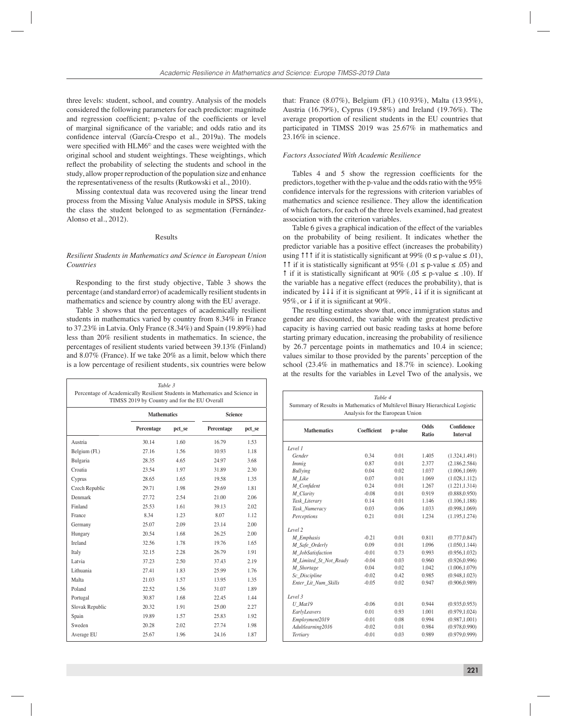three levels: student, school, and country. Analysis of the models considered the following parameters for each predictor: magnitude and regression coefficient; p-value of the coefficients or level of marginal significance of the variable; and odds ratio and its confidence interval (García-Crespo et al., 2019a). The models were specified with  $HLM6^{\circ}$  and the cases were weighted with the original school and student weightings. These weightings, which reflect the probability of selecting the students and school in the study, allow proper reproduction of the population size and enhance the representativeness of the results (Rutkowski et al., 2010).

Missing contextual data was recovered using the linear trend process from the Missing Value Analysis module in SPSS, taking the class the student belonged to as segmentation (Fernández-Alonso et al., 2012).

# Results

# *Resilient Students in Mathematics and Science in European Union Countries*

Responding to the first study objective, Table 3 shows the percentage (and standard error) of academically resilient students in mathematics and science by country along with the EU average.

Table 3 shows that the percentages of academically resilient students in mathematics varied by country from 8.34% in France to 37.23% in Latvia. Only France (8.34%) and Spain (19.89%) had less than 20% resilient students in mathematics. In science, the percentages of resilient students varied between 39.13% (Finland) and 8.07% (France). If we take 20% as a limit, below which there is a low percentage of resilient students, six countries were below

| Table 3<br>Percentage of Academically Resilient Students in Mathematics and Science in<br>TIMSS 2019 by Country and for the EU Overall |                    |        |                |        |  |
|----------------------------------------------------------------------------------------------------------------------------------------|--------------------|--------|----------------|--------|--|
|                                                                                                                                        | <b>Mathematics</b> |        | <b>Science</b> |        |  |
|                                                                                                                                        | Percentage         | pct_se | Percentage     | pct_se |  |
| Austria                                                                                                                                | 30.14              | 1.60   | 16.79          | 1.53   |  |
| Belgium (Fl.)                                                                                                                          | 27 16              | 1.56   | 10.93          | 1.18   |  |
| Bulgaria                                                                                                                               | 28.35              | 4.65   | 24.97          | 3.68   |  |
| Croatia                                                                                                                                | 23.54              | 1.97   | 31.89          | 2.30   |  |
| Cyprus                                                                                                                                 | 28.65              | 1.65   | 19.58          | 1.35   |  |
| Czech Republic                                                                                                                         | 29.71              | 1.98   | 29.69          | 1.81   |  |
| Denmark                                                                                                                                | 27.72              | 2.54   | 21.00          | 2.06   |  |
| Finland                                                                                                                                | 25.53              | 1.61   | 39.13          | 2.02   |  |
| France                                                                                                                                 | 8.34               | 1.23   | 8.07           | 1.12   |  |
| Germany                                                                                                                                | 25.07              | 2.09   | 23.14          | 2.00   |  |
| Hungary                                                                                                                                | 20.54              | 1.68   | 26.25          | 2.00   |  |
| <b>Ireland</b>                                                                                                                         | 32.56              | 1.78   | 19.76          | 1.65   |  |
| Italy                                                                                                                                  | 32.15              | 2.28   | 26.79          | 1.91   |  |
| Latvia                                                                                                                                 | 37.23              | 2.50   | 37.43          | 2.19   |  |
| Lithuania                                                                                                                              | 2741               | 1.83   | 25.99          | 176    |  |
| Malta                                                                                                                                  | 21.03              | 1.57   | 13.95          | 1.35   |  |
| Poland                                                                                                                                 | 22.52              | 1.56   | 31.07          | 1.89   |  |
| Portugal                                                                                                                               | 30.87              | 1.68   | 22.45          | 1 4 4  |  |
| Slovak Republic                                                                                                                        | 20.32              | 1.91   | 25.00          | 2.27   |  |
| Spain                                                                                                                                  | 19.89              | 1.57   | 25.83          | 1.92   |  |
| Sweden                                                                                                                                 | 20.28              | 2.02   | 27.74          | 1.98   |  |
| Average EU                                                                                                                             | 25.67              | 1.96   | 24.16          | 1.87   |  |

that: France (8.07%), Belgium (Fl.) (10.93%), Malta (13.95%), Austria (16.79%), Cyprus (19.58%) and Ireland (19.76%). The average proportion of resilient students in the EU countries that participated in TIMSS 2019 was 25.67% in mathematics and 23.16% in science.

# *Factors Associated With Academic Resilience*

Tables 4 and 5 show the regression coefficients for the predictors, together with the p-value and the odds ratio with the 95% confidence intervals for the regressions with criterion variables of mathematics and science resilience. They allow the identification of which factors, for each of the three levels examined, had greatest association with the criterion variables.

Table 6 gives a graphical indication of the effect of the variables on the probability of being resilient. It indicates whether the predictor variable has a positive effect (increases the probability) using  $\uparrow \uparrow \uparrow$  if it is statistically significant at 99% (0 ≤ p-value ≤ .01), **11** if it is statistically significant at 95% (.01 ≤ p-value ≤ .05) and 1 if it is statistically significant at 90% (.05 ≤ p-value ≤ .10). If the variable has a negative effect (reduces the probability), that is indicated by  $\downarrow \downarrow \downarrow$  if it is significant at 99%,  $\downarrow \downarrow$  if it is significant at 95%, or  $\downarrow$  if it is significant at 90%.

The resulting estimates show that, once immigration status and gender are discounted, the variable with the greatest predictive capacity is having carried out basic reading tasks at home before starting primary education, increasing the probability of resilience by 26.7 percentage points in mathematics and 10.4 in science; values similar to those provided by the parents' perception of the school (23.4% in mathematics and 18.7% in science). Looking at the results for the variables in Level Two of the analysis, we

| Table 4<br>Summary of Results in Mathematics of Multilevel Binary Hierarchical Logistic<br>Analysis for the European Union |             |         |                      |                               |
|----------------------------------------------------------------------------------------------------------------------------|-------------|---------|----------------------|-------------------------------|
| <b>Mathematics</b>                                                                                                         | Coefficient | p-value | <b>Odds</b><br>Ratio | Confidence<br><b>Interval</b> |
| Level 1                                                                                                                    |             |         |                      |                               |
| Gender                                                                                                                     | 0.34        | 001     | 1 4 0 5              | (1.324, 1.491)                |
| Immig                                                                                                                      | 0.87        | 0.01    | 2.377                | (2.186.2.584)                 |
| <b>Bullying</b>                                                                                                            | 0.04        | 0.02    | 1.037                | (1.006.1.069)                 |
| M Like                                                                                                                     | 0.07        | 0.01    | 1.069                | (1.028.1.112)                 |
| M Confident                                                                                                                | 0.24        | 0.01    | 1 267                | (1.221, 1.314)                |
| M Clarity                                                                                                                  | $-0.08$     | 0.01    | 0.919                | (0.888, 0.950)                |
| Task_Literary                                                                                                              | 014         | 0.01    | 1.146                | (1.106, 1.188)                |
| Task_Numeracy                                                                                                              | 0.03        | 0.06    | 1.033                | (0.998, 1.069)                |
| Perceptions                                                                                                                | 0.21        | 0.01    | 1.234                | (1.195, 1.274)                |
| Level 2                                                                                                                    |             |         |                      |                               |
| M Emphasis                                                                                                                 | $-0.21$     | 0.01    | 0.811                | (0.777, 0.847)                |
| M_Safe_Orderly                                                                                                             | 0.09        | 0.01    | 1.096                | (1.050.1.144)                 |
| M_JobSatisfaction                                                                                                          | $-0.01$     | 0.73    | 0.993                | (0.956.1.032)                 |
| M Limited St Not Ready                                                                                                     | $-0.04$     | 0.03    | 0.960                | (0.926.0.996)                 |
| M Shortage                                                                                                                 | 0.04        | 0.02    | 1 0 4 2              | (1.006.1.079)                 |
| Sc Discipline                                                                                                              | $-0.02$     | 0.42    | 0.985                | (0.948, 1.023)                |
| Enter Lit Num Skills                                                                                                       | $-0.05$     | 0.02    | 0.947                | (0.906, 0.989)                |
| Level 3                                                                                                                    |             |         |                      |                               |
| U Mat19                                                                                                                    | $-0.06$     | 0.01    | 0.944                | (0.935, 0.953)                |
| EarlyLeavers                                                                                                               | 0.01        | 0.93    | 1.001                | (0.979, 1.024)                |
| Employment2019                                                                                                             | $-0.01$     | 0.08    | 0.994                | (0.987, 1.001)                |
| Adultlearning2016                                                                                                          | $-0.02$     | 001     | 0.984                | (0.978.0.990)                 |
| <b>Tertiary</b>                                                                                                            | $-0.01$     | 0.03    | 0.989                | (0.979.0.999)                 |
|                                                                                                                            |             |         |                      |                               |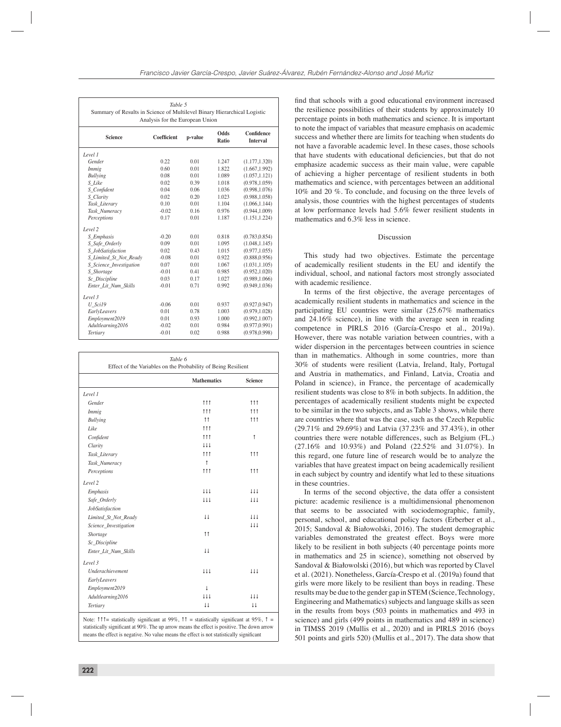| Table 5<br>Summary of Results in Science of Multilevel Binary Hierarchical Logistic<br>Analysis for the European Union |                    |         |               |                        |
|------------------------------------------------------------------------------------------------------------------------|--------------------|---------|---------------|------------------------|
| <b>Science</b>                                                                                                         | <b>Coefficient</b> | p-value | Odds<br>Ratio | Confidence<br>Interval |
| Level 1                                                                                                                |                    |         |               |                        |
| Gender                                                                                                                 | 0.22               | 0.01    | 1.247         | (1.177, 1.320)         |
| <i>Immig</i>                                                                                                           | 0.60               | 0.01    | 1.822         | (1.667, 1.992)         |
| <b>Bullying</b>                                                                                                        | 0.08               | 0.01    | 1.089         | (1.057, 1.121)         |
| S Like                                                                                                                 | 0.02               | 0.39    | 1.018         | (0.978.1.059)          |
| S_Confident                                                                                                            | 0.04               | 0.06    | 1.036         | (0.998, 1.076)         |
| S Clarity                                                                                                              | 0.02               | 0.20    | 1.023         | (0.988, 1.058)         |
| Task Literary                                                                                                          | 0.10               | 0.01    | 1.104         | (1.066, 1.144)         |
| Task Numeracy                                                                                                          | $-0.02$            | 0.16    | 0.976         | (0.944, 1.009)         |
| Perceptions                                                                                                            | 0.17               | 0.01    | 1.187         | (1.151, 1.224)         |
| Level 2                                                                                                                |                    |         |               |                        |
| S Emphasis                                                                                                             | $-0.20$            | 0.01    | 0.818         | (0.783.0.854)          |
| S_Safe_Orderly                                                                                                         | 0.09               | 0.01    | 1.095         | (1.048, 1.145)         |
| S JobSatisfaction                                                                                                      | 0.02               | 0.43    | 1.015         | (0.977, 1.055)         |
| S_Limited_St_Not_Ready                                                                                                 | $-0.08$            | 0.01    | 0.922         | (0.888, 0.956)         |
| S_Science_Investigation                                                                                                | 0.07               | 0.01    | 1.067         | (1.031, 1.105)         |
| S Shortage                                                                                                             | $-0.01$            | 0.41    | 0.985         | (0.952.1.020)          |
| Sc_Discipline                                                                                                          | 0.03               | 0.17    | 1.027         | (0.989.1.066)          |
| Enter Lit Num Skills                                                                                                   | $-0.01$            | 0.71    | 0.992         | (0.949.1.036)          |
| Level 3                                                                                                                |                    |         |               |                        |
| U Sci19                                                                                                                | $-0.06$            | 0.01    | 0.937         | (0.927.0.947)          |
| EarlyLeavers                                                                                                           | 0.01               | 0.78    | 1.003         | (0.979, 1.028)         |
| Employment2019                                                                                                         | 0.01               | 0.93    | 1.000         | (0.992, 1.007)         |
| Adultlearning2016                                                                                                      | $-0.02$            | 0.01    | 0.984         | (0.977.0.991)          |
| Tertiary                                                                                                               | $-0.01$            | 0.02    | 0.988         | (0.978, 0.998)         |

| Table 6<br>Effect of the Variables on the Probability of Being Resilient |                         |                         |  |  |
|--------------------------------------------------------------------------|-------------------------|-------------------------|--|--|
|                                                                          | <b>Mathematics</b>      | <b>Science</b>          |  |  |
| Level 1                                                                  |                         |                         |  |  |
| Gender                                                                   | 111                     | 111                     |  |  |
| <i>Immig</i>                                                             | 111                     | 111                     |  |  |
| <b>Bullying</b>                                                          | 11                      | 111                     |  |  |
| Like                                                                     | 111                     |                         |  |  |
| Confident                                                                | 111                     | $\uparrow$              |  |  |
| Clarity                                                                  | 111                     |                         |  |  |
| Task_Literary                                                            | 111                     | 111                     |  |  |
| Task_Numeracy                                                            | $\uparrow$              |                         |  |  |
| Perceptions                                                              | 111                     | 111                     |  |  |
| Level 2                                                                  |                         |                         |  |  |
| Emphasis                                                                 | 111                     | 111                     |  |  |
| Safe_Orderly                                                             | 111                     | 111                     |  |  |
| <b>JobSatisfaction</b>                                                   |                         |                         |  |  |
| Limited_St_Not_Ready                                                     | $\overline{11}$         | 111                     |  |  |
| Science_Investigation                                                    |                         | 111                     |  |  |
| Shortage                                                                 | 11                      |                         |  |  |
| Sc_Discipline                                                            |                         |                         |  |  |
| Enter_Lit_Num_Skills                                                     | $\downarrow \downarrow$ |                         |  |  |
| Level 3                                                                  |                         |                         |  |  |
| <b>Underachievement</b>                                                  | 111                     | 111                     |  |  |
| EarlyLeavers                                                             |                         |                         |  |  |
| Employment2019                                                           | $\downarrow$            |                         |  |  |
| Adultlearning2016                                                        | 111                     | 111                     |  |  |
| Tertiary                                                                 | $\downarrow \downarrow$ | $\downarrow \downarrow$ |  |  |

Note:  $\uparrow \uparrow \uparrow$  statistically significant at 99%,  $\uparrow \uparrow$  = statistically significant at 95%,  $\uparrow$  = statistically significant at 90%. The up arrow means the effect is positive. The down arrow means the effect is negative. No value means the effect is not statistically significant

find that schools with a good educational environment increased the resilience possibilities of their students by approximately 10 percentage points in both mathematics and science. It is important to note the impact of variables that measure emphasis on academic success and whether there are limits for teaching when students do not have a favorable academic level. In these cases, those schools that have students with educational deficiencies, but that do not emphasize academic success as their main value, were capable of achieving a higher percentage of resilient students in both mathematics and science, with percentages between an additional 10% and 20 %. To conclude, and focusing on the three levels of analysis, those countries with the highest percentages of students at low performance levels had 5.6% fewer resilient students in mathematics and 6.3% less in science.

## Discussion

This study had two objectives. Estimate the percentage of academically resilient students in the EU and identify the individual, school, and national factors most strongly associated with academic resilience.

In terms of the first objective, the average percentages of academically resilient students in mathematics and science in the participating EU countries were similar (25.67% mathematics and 24.16% science), in line with the average seen in reading competence in PIRLS 2016 (García-Crespo et al., 2019a). However, there was notable variation between countries, with a wider dispersion in the percentages between countries in science than in mathematics. Although in some countries, more than 30% of students were resilient (Latvia, Ireland, Italy, Portugal and Austria in mathematics, and Finland, Latvia, Croatia and Poland in science), in France, the percentage of academically resilient students was close to 8% in both subjects. In addition, the percentages of academically resilient students might be expected to be similar in the two subjects, and as Table 3 shows, while there are countries where that was the case, such as the Czech Republic (29.71% and 29.69%) and Latvia (37.23% and 37.43%), in other countries there were notable differences, such as Belgium (FL.) (27.16% and 10.93%) and Poland (22.52% and 31.07%). In this regard, one future line of research would be to analyze the variables that have greatest impact on being academically resilient in each subject by country and identify what led to these situations in these countries.

In terms of the second objective, the data offer a consistent picture: academic resilience is a multidimensional phenomenon that seems to be associated with sociodemographic, family, personal, school, and educational policy factors (Erberber et al., 2015; Sandoval & Białowolski, 2016). The student demographic variables demonstrated the greatest effect. Boys were more likely to be resilient in both subjects (40 percentage points more in mathematics and 25 in science), something not observed by Sandoval & Białowolski (2016), but which was reported by Clavel et al. (2021). Nonetheless, García-Crespo et al. (2019a) found that girls were more likely to be resilient than boys in reading. These results may be due to the gender gap in STEM (Science, Technology, Engineering and Mathematics) subjects and language skills as seen in the results from boys (503 points in mathematics and 493 in science) and girls (499 points in mathematics and 489 in science) in TIMSS 2019 (Mullis et al., 2020) and in PIRLS 2016 (boys 501 points and girls 520) (Mullis et al., 2017). The data show that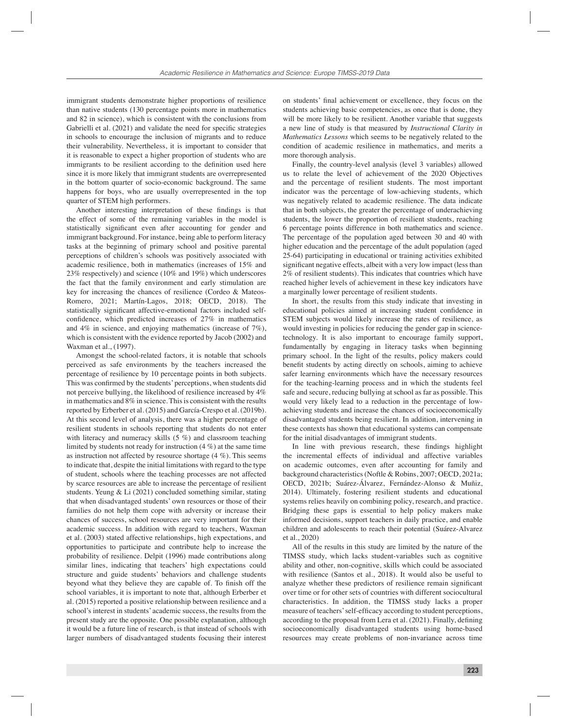immigrant students demonstrate higher proportions of resilience than native students (130 percentage points more in mathematics and 82 in science), which is consistent with the conclusions from Gabrielli et al. (2021) and validate the need for specific strategies in schools to encourage the inclusion of migrants and to reduce their vulnerability. Nevertheless, it is important to consider that it is reasonable to expect a higher proportion of students who are immigrants to be resilient according to the definition used here since it is more likely that immigrant students are overrepresented in the bottom quarter of socio-economic background. The same happens for boys, who are usually overrepresented in the top quarter of STEM high performers.

Another interesting interpretation of these findings is that the effect of some of the remaining variables in the model is statistically significant even after accounting for gender and immigrant background. For instance, being able to perform literacy tasks at the beginning of primary school and positive parental perceptions of children's schools was positively associated with academic resilience, both in mathematics (increases of 15% and 23% respectively) and science (10% and 19%) which underscores the fact that the family environment and early stimulation are key for increasing the chances of resilience (Cordeo & Mateos-Romero, 2021; Martín-Lagos, 2018; OECD, 2018). The statistically significant affective-emotional factors included selfconfidence, which predicted increases of  $27\%$  in mathematics and 4% in science, and enjoying mathematics (increase of 7%), which is consistent with the evidence reported by Jacob (2002) and Waxman et al., (1997).

Amongst the school-related factors, it is notable that schools perceived as safe environments by the teachers increased the percentage of resilience by 10 percentage points in both subjects. This was confirmed by the students' perceptions, when students did not perceive bullying, the likelihood of resilience increased by 4% in mathematics and 8% in science. This is consistent with the results reported by Erberber et al. (2015) and García-Crespo et al. (2019b). At this second level of analysis, there was a higher percentage of resilient students in schools reporting that students do not enter with literacy and numeracy skills (5 %) and classroom teaching limited by students not ready for instruction (4 %) at the same time as instruction not affected by resource shortage (4 %). This seems to indicate that, despite the initial limitations with regard to the type of student, schools where the teaching processes are not affected by scarce resources are able to increase the percentage of resilient students. Yeung & Li (2021) concluded something similar, stating that when disadvantaged students' own resources or those of their families do not help them cope with adversity or increase their chances of success, school resources are very important for their academic success. In addition with regard to teachers, Waxman et al. (2003) stated affective relationships, high expectations, and opportunities to participate and contribute help to increase the probability of resilience. Delpit (1996) made contributions along similar lines, indicating that teachers' high expectations could structure and guide students' behaviors and challenge students beyond what they believe they are capable of. To finish off the school variables, it is important to note that, although Erberber et al. (2015) reported a positive relationship between resilience and a school's interest in students' academic success, the results from the present study are the opposite. One possible explanation, although it would be a future line of research, is that instead of schools with larger numbers of disadvantaged students focusing their interest

on students' final achievement or excellence, they focus on the students achieving basic competencies, as once that is done, they will be more likely to be resilient. Another variable that suggests a new line of study is that measured by *Instructional Clarity in Mathematics Lessons* which seems to be negatively related to the condition of academic resilience in mathematics, and merits a more thorough analysis.

Finally, the country-level analysis (level 3 variables) allowed us to relate the level of achievement of the 2020 Objectives and the percentage of resilient students. The most important indicator was the percentage of low-achieving students, which was negatively related to academic resilience. The data indicate that in both subjects, the greater the percentage of underachieving students, the lower the proportion of resilient students, reaching 6 percentage points difference in both mathematics and science. The percentage of the population aged between 30 and 40 with higher education and the percentage of the adult population (aged 25-64) participating in educational or training activities exhibited significant negative effects, albeit with a very low impact (less than 2% of resilient students). This indicates that countries which have reached higher levels of achievement in these key indicators have a marginally lower percentage of resilient students.

In short, the results from this study indicate that investing in educational policies aimed at increasing student confidence in STEM subjects would likely increase the rates of resilience, as would investing in policies for reducing the gender gap in sciencetechnology. It is also important to encourage family support, fundamentally by engaging in literacy tasks when beginning primary school. In the light of the results, policy makers could benefit students by acting directly on schools, aiming to achieve safer learning environments which have the necessary resources for the teaching-learning process and in which the students feel safe and secure, reducing bullying at school as far as possible. This would very likely lead to a reduction in the percentage of lowachieving students and increase the chances of socioeconomically disadvantaged students being resilient. In addition, intervening in these contexts has shown that educational systems can compensate for the initial disadvantages of immigrant students.

In line with previous research, these findings highlight the incremental effects of individual and affective variables on academic outcomes, even after accounting for family and background characteristics (Noftle & Robins, 2007; OECD, 2021a; OECD, 2021b; Suárez-Álvarez, Fernández-Alonso & Muñiz, 2014). Ultimately, fostering resilient students and educational systems relies heavily on combining policy, research, and practice. Bridging these gaps is essential to help policy makers make informed decisions, support teachers in daily practice, and enable children and adolescents to reach their potential (Suárez-Alvarez et al., 2020)

All of the results in this study are limited by the nature of the TIMSS study, which lacks student-variables such as cognitive ability and other, non-cognitive, skills which could be associated with resilience (Santos et al., 2018). It would also be useful to analyze whether these predictors of resilience remain significant over time or for other sets of countries with different sociocultural characteristics. In addition, the TIMSS study lacks a proper measure of teachers' self-efficacy according to student perceptions, according to the proposal from Lera et al. (2021). Finally, defining socioeconomically disadvantaged students using home-based resources may create problems of non-invariance across time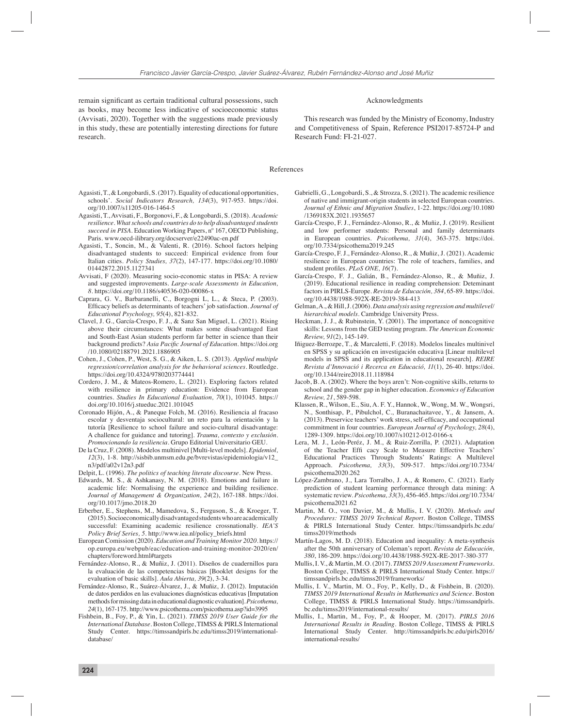remain significant as certain traditional cultural possessions, such as books, may become less indicative of socioeconomic status (Avvisati, 2020). Together with the suggestions made previously in this study, these are potentially interesting directions for future research.

#### Acknowledgments

This research was funded by the Ministry of Economy, Industry and Competitiveness of Spain, Reference PSI2017-85724-P and Research Fund: FI-21-027.

#### References

- Agasisti, T., & Longobardi, S. (2017). Equality of educational opportunities, schools'. *Social Indicators Research, 134*(3), 917-953. https://doi. org/10.1007/s11205-016-1464-5
- Agasisti, T., Avvisati, F., Borgonovi, F., & Longobardi, S. (2018). *Academic resilience. What schools and countries do to help disadvantaged students succeed in PISA.* Education Working Papers, nº 167, OECD Publishing, Paris. www.oecd-ilibrary.org/docserver/e22490ac-en.pdf
- Agasisti, T., Soncin, M., & Valenti, R. (2016). School factors helping disadvantaged students to succeed: Empirical evidence from four Italian cities. *Policy Studies, 37*(2), 147-177. https://doi.org/10.1080/ 01442872.2015.1127341
- Avvisati, F (2020). Measuring socio-economic status in PISA: A review and suggested improvements*. Large-scale Assessments in Education, 8.* https://doi.org/10.1186/s40536-020-00086-x
- Caprara, G. V., Barbaranelli, C., Borgogni L, L., & Steca, P. (2003). Efficacy beliefs as determinants of teachers' job satisfaction. *Journal of Educational Psychology, 95*(4), 821-832.
- Clavel, J. G., García-Crespo, F. J., & Sanz San Miguel, L. (2021). Rising above their circumstances: What makes some disadvantaged East and South-East Asian students perform far better in science than their background predicts? Asia Pacific Journal of Education. https://doi.org /10.1080/02188791.2021.1886905
- Cohen, J., Cohen, P., West, S. G., & Aiken, L. S. (2013). *Applied multiple regression/correlation analysis for the behavioral sciences.* Routledge. https://doi.org/10.4324/9780203774441
- Cordero, J. M., & Mateos-Romero, L. (2021). Exploring factors related with resilience in primary education: Evidence from European countries. *Studies In Educational Evaluation, 70*(1), 101045. https:// doi.org/10.1016/j.stueduc.2021.101045
- Coronado Hijón, A., & Paneque Folch, M. (2016). Resiliencia al fracaso escolar y desventaja sociocultural: un reto para la orientación y la tutoría [Resilience to school failure and socio-cultural disadvantage: A challence for guidance and tutoring]. *Trauma, contexto y exclusión. Promocionando la resiliencia.* Grupo Editorial Universitario GEU.
- De la Cruz, F. (2008). Modelos multinivel [Multi-level models]. *Epidemiol, 12*(3), 1-8. http://sisbib.unmsm.edu.pe/bvrevistas/epidemiologia/v12\_ n3/pdf/a02v12n3.pdf
- Delpit, L. (1996). *The politics of teaching literate discourse.* New Press.
- Edwards, M. S., & Ashkanasy, N. M. (2018). Emotions and failure in academic life: Normalising the experience and building resilience. *Journal of Management & Organization, 24*(2), 167-188. https://doi. org/10.1017/jmo.2018.20
- Erberber, E., Stephens, M., Mamedova, S., Ferguson, S., & Kroeger, T. (2015). Socioeconomically disadvantaged students who are academically successful: Examining academic resilience crossnationally. *IEA'S Policy Brief Series, 5*. http://www.iea.nl/policy\_briefs.html
- European Comission (2020). *Education and Training Monitor 2020*. https:// op.europa.eu/webpub/eac/education-and-training-monitor-2020/en/ chapters/foreword.html#targets
- Fernández-Alonso, R., & Muñiz, J. (2011). Diseños de cuadernillos para la evaluación de las competencias básicas [Booklet designs for the evaluation of basic skills]. *Aula Abierta, 39*(2), 3-34.
- Fernández-Alonso, R., Suárez-Álvarez, J., & Muñiz, J. (2012). Imputación de datos perdidos en las evaluaciones diagnósticas educativas [Imputation methods for missing data in educational diagnostic evaluation]. *Psicothema, 24*(1), 167-175. http://www.psicothema.com/psicothema.asp?id=3995
- Fishbein, B., Foy, P., & Yin, L. (2021). *TIMSS 2019 User Guide for the International Database.* Boston College, TIMSS & PIRLS International Study Center. https://timssandpirls.bc.edu/timss2019/internationaldatabase/
- Gabrielli, G., Longobardi, S., & Strozza, S. (2021). The academic resilience of native and immigrant-origin students in selected European countries. *Journal of Ethnic and Migration Studies*, 1-22. https://doi.org/10.1080 /1369183X.2021.1935657
- García-Crespo, F. J., Fernández-Alonso, R., & Muñiz, J. (2019). Resilient and low performer students: Personal and family determinants in European countries. *Psicothema, 31*(4), 363-375. https://doi. org/10.7334/psicothema2019.245
- García-Crespo, F. J., Fernández-Alonso, R., & Muñiz, J. (2021). Academic resilience in European countries: The role of teachers, families, and student profiles. *PLoS ONE*, 16(7).
- García-Crespo, F. J., Galián, B., Fernández-Alonso, R., & Muñiz, J. (2019). Educational resilience in reading comprehension: Deteminant factors in PIRLS-Europe. *Revista de Educación, 384*, 65-89. https://doi. org/10.4438/1988-592X-RE-2019-384-413
- Gelman, A., & Hill, J. (2006). *Data analysis using regression and multilevel/ hierarchical models.* Cambridge University Press.
- Heckman, J. J., & Rubinstein, Y. (2001). The importance of noncognitive skills: Lessons from the GED testing program. *The American Economic Review, 91*(2), 145-149.
- Iñiguez-Berrozpe, T., & Marcaletti, F. (2018). Modelos lineales multinivel en SPSS y su aplicación en investigación educativa [Linear multilevel models in SPSS and its application in educational research]. *REIRE Revista d'Innovació i Recerca en Educació, 11*(1), 26-40. https://doi. org/10.1344/reire2018.11.118984
- Jacob, B. A. (2002). Where the boys aren't: Non-cognitive skills, returns to school and the gender gap in higher education. *Economics of Education Review, 21*, 589-598.
- Klassen, R., Wilson, E., Siu, A. F. Y., Hannok, W., Wong, M. W., Wongsri, N., Sonthisap, P., Pibulchol, C., Buranachaitavee, Y., & Jansem, A. (2013). Preservice teachers' work stress, self-efficacy, and occupational commitment in four countries. *European Journal of Psychology, 28*(4), 1289-1309. https://doi.org/10.1007/s10212-012-0166-x
- Lera, M. J., León-Peréz, J. M., & Ruiz-Zorrilla, P. (2021). Adaptation of the Teacher Effi cacy Scale to Measure Effective Teachers' Educational Practices Through Students' Ratings: A Multilevel Approach. *Psicothema, 33*(3), 509-517. https://doi.org/10.7334/ psicothema2020.262
- López-Zambrano, J., Lara Torralbo, J. A., & Romero, C. (2021). Early prediction of student learning performance through data mining: A systematic review. *Psicothema, 33*(3), 456-465. https://doi.org/10.7334/ psicothema2021.62
- Martin, M. O., von Davier, M., & Mullis, I. V. (2020). *Methods and Procedures: TIMSS 2019 Technical Report.* Boston College, TIMSS & PIRLS International Study Center. https://timssandpirls.bc.edu/ timss2019/methods
- Martín-Lagos, M. D. (2018). Education and inequality: A meta-synthesis after the 50th anniversary of Coleman's report. *Revista de Educación, 380*, 186-209. https://doi.org/10.4438/1988-592X-RE-2017-380-377
- Mullis, I. V., & Martin, M. O. (2017). *TIMSS 2019 Assessment Frameworks.* Boston College, TIMSS & PIRLS International Study Center. https:// timssandpirls.bc.edu/timss2019/frameworks/
- Mullis, I. V., Martin, M. O., Foy, P., Kelly, D., & Fishbein, B. (2020). *TIMSS 2019 International Results in Mathematics and Science.* Boston College, TIMSS & PIRLS International Study. https://timssandpirls. bc.edu/timss2019/international-results/
- Mullis, I., Martin, M., Foy, P., & Hooper, M. (2017). *PIRLS 2016 International Results in Reading.* Boston College, TIMSS & PIRLS International Study Center. http://timssandpirls.bc.edu/pirls2016/ international-results/